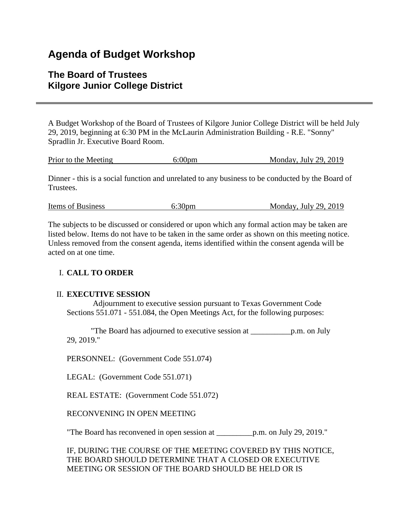# **Agenda of Budget Workshop**

# **The Board of Trustees Kilgore Junior College District**

A Budget Workshop of the Board of Trustees of Kilgore Junior College District will be held July 29, 2019, beginning at 6:30 PM in the McLaurin Administration Building - R.E. "Sonny" Spradlin Jr. Executive Board Room.

| Monday, July 29, $2019$<br>Prior to the Meeting<br>6:00 <sub>pm</sub> |
|-----------------------------------------------------------------------|
|-----------------------------------------------------------------------|

Dinner - this is a social function and unrelated to any business to be conducted by the Board of Trustees.

| 6:30 <sub>pm</sub><br>Items of Business | Monday, July 29, 2019 |  |  |  |
|-----------------------------------------|-----------------------|--|--|--|
|-----------------------------------------|-----------------------|--|--|--|

The subjects to be discussed or considered or upon which any formal action may be taken are listed below. Items do not have to be taken in the same order as shown on this meeting notice. Unless removed from the consent agenda, items identified within the consent agenda will be acted on at one time.

#### I. **CALL TO ORDER**

#### II. **EXECUTIVE SESSION**

 Adjournment to executive session pursuant to Texas Government Code Sections 551.071 - 551.084, the Open Meetings Act, for the following purposes:

 "The Board has adjourned to executive session at \_\_\_\_\_\_\_\_\_\_p.m. on July 29, 2019."

PERSONNEL: (Government Code 551.074)

LEGAL: (Government Code 551.071)

REAL ESTATE: (Government Code 551.072)

RECONVENING IN OPEN MEETING

"The Board has reconvened in open session at \_\_\_\_\_\_\_\_\_p.m. on July 29, 2019."

IF, DURING THE COURSE OF THE MEETING COVERED BY THIS NOTICE, THE BOARD SHOULD DETERMINE THAT A CLOSED OR EXECUTIVE MEETING OR SESSION OF THE BOARD SHOULD BE HELD OR IS